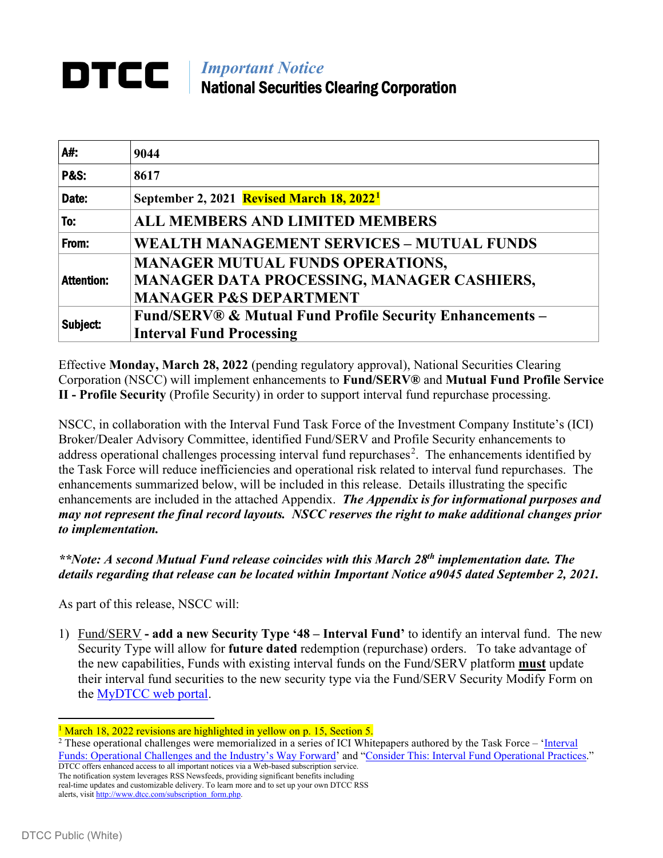# *IMportant Notice* National Securities Clearing Corporation

| A#.               | 9044                                                                                                                       |
|-------------------|----------------------------------------------------------------------------------------------------------------------------|
| <b>P&amp;S:</b>   | 8617                                                                                                                       |
| Date:             | September 2, 2021 Revised March 18, 2022 <sup>1</sup>                                                                      |
| To:               | <b>ALL MEMBERS AND LIMITED MEMBERS</b>                                                                                     |
| From:             | <b>WEALTH MANAGEMENT SERVICES - MUTUAL FUNDS</b>                                                                           |
| <b>Attention:</b> | <b>MANAGER MUTUAL FUNDS OPERATIONS,</b><br>MANAGER DATA PROCESSING, MANAGER CASHIERS,<br><b>MANAGER P&amp;S DEPARTMENT</b> |
| Subject:          | <b>Fund/SERV® &amp; Mutual Fund Profile Security Enhancements –</b><br><b>Interval Fund Processing</b>                     |

Effective **Monday, March 28, 2022** (pending regulatory approval), National Securities Clearing Corporation (NSCC) will implement enhancements to **Fund/SERV®** and **Mutual Fund Profile Service II - Profile Security** (Profile Security) in order to support interval fund repurchase processing.

NSCC, in collaboration with the Interval Fund Task Force of the Investment Company Institute's (ICI) Broker/Dealer Advisory Committee, identified Fund/SERV and Profile Security enhancements to address operational challenges processing interval fund repurchases<sup>[2](#page-0-1)</sup>. The enhancements identified by the Task Force will reduce inefficiencies and operational risk related to interval fund repurchases. The enhancements summarized below, will be included in this release. Details illustrating the specific enhancements are included in the attached Appendix. *The Appendix is for informational purposes and may not represent the final record layouts. NSCC reserves the right to make additional changes prior to implementation.* 

*\*\*Note: A second Mutual Fund release coincides with this March 28th implementation date. The details regarding that release can be located within Important Notice a9045 dated September 2, 2021.*

As part of this release, NSCC will:

1) Fund/SERV **- add a new Security Type '48 – Interval Fund'** to identify an interval fund. The new Security Type will allow for **future dated** redemption (repurchase) orders. To take advantage of the new capabilities, Funds with existing interval funds on the Fund/SERV platform **must** update their interval fund securities to the new security type via the Fund/SERV Security Modify Form on the [MyDTCC web portal.](https://portal.dtcc.com/)

DTCC offers enhanced access to all important notices via a Web-based subscription service. The notification system leverages RSS Newsfeeds, providing significant benefits including

<span id="page-0-0"></span><sup>&</sup>lt;sup>1</sup> March 18, 2022 revisions are highlighted in yellow on p. 15, Section 5.

<span id="page-0-1"></span><sup>&</sup>lt;sup>2</sup> These operational challenges were memorialized in a series of ICI Whitepapers authored by the Task Force – 'Interval [Funds: Operational Challenges and the Industry's Way Forward'](https://www.ici.org/system/files/attachments/pdf/19_ppr_interval_funds.pdf) and ["Consider This: Interval Fund Operational Practices.](https://www.ici.org/system/files/attachments/pdf/20_ppr_interval_funds.pdf)"

real-time updates and customizable delivery. To learn more and to set up your own DTCC RSS alerts, visit [http://www.dtcc.com/subscription\\_form.php.](http://www.dtcc.com/subscription_form.php)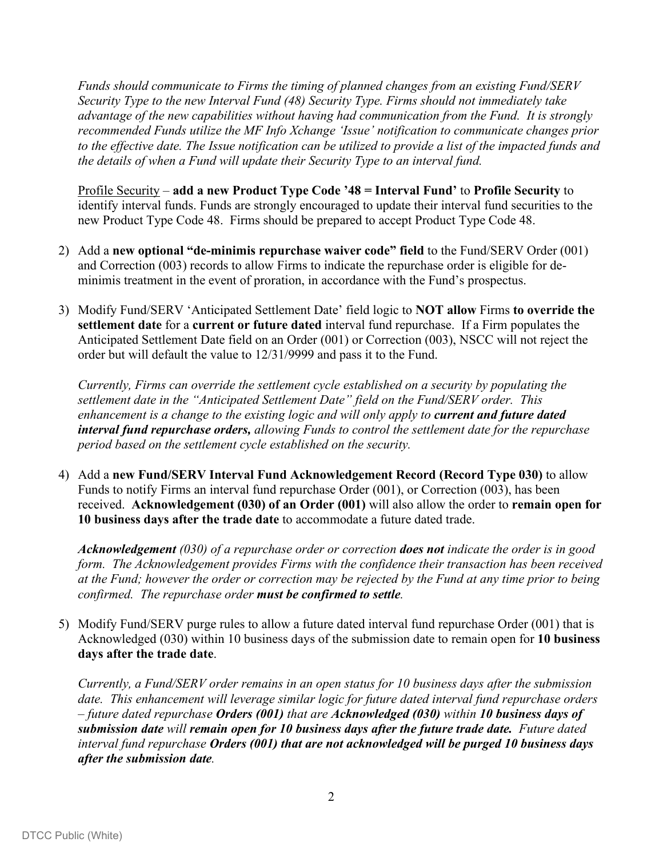*Funds should communicate to Firms the timing of planned changes from an existing Fund/SERV Security Type to the new Interval Fund (48) Security Type. Firms should not immediately take advantage of the new capabilities without having had communication from the Fund. It is strongly recommended Funds utilize the MF Info Xchange 'Issue' notification to communicate changes prior to the effective date. The Issue notification can be utilized to provide a list of the impacted funds and the details of when a Fund will update their Security Type to an interval fund.* 

Profile Security *–* **add a new Product Type Code '48 = Interval Fund'** to **Profile Security** to identify interval funds. Funds are strongly encouraged to update their interval fund securities to the new Product Type Code 48. Firms should be prepared to accept Product Type Code 48.

- 2) Add a **new optional "de-minimis repurchase waiver code" field** to the Fund/SERV Order (001) and Correction (003) records to allow Firms to indicate the repurchase order is eligible for deminimis treatment in the event of proration, in accordance with the Fund's prospectus.
- 3) Modify Fund/SERV 'Anticipated Settlement Date' field logic to **NOT allow** Firms **to override the settlement date** for a **current or future dated** interval fund repurchase. If a Firm populates the Anticipated Settlement Date field on an Order (001) or Correction (003), NSCC will not reject the order but will default the value to 12/31/9999 and pass it to the Fund.

*Currently, Firms can override the settlement cycle established on a security by populating the settlement date in the "Anticipated Settlement Date" field on the Fund/SERV order. This enhancement is a change to the existing logic and will only apply to current and future dated interval fund repurchase orders, allowing Funds to control the settlement date for the repurchase period based on the settlement cycle established on the security.*

4) Add a **new Fund/SERV Interval Fund Acknowledgement Record (Record Type 030)** to allow Funds to notify Firms an interval fund repurchase Order (001), or Correction (003), has been received. **Acknowledgement (030) of an Order (001)** will also allow the order to **remain open for 10 business days after the trade date** to accommodate a future dated trade.

*Acknowledgement (030) of a repurchase order or correction does not indicate the order is in good form. The Acknowledgement provides Firms with the confidence their transaction has been received at the Fund; however the order or correction may be rejected by the Fund at any time prior to being confirmed. The repurchase order must be confirmed to settle.*

5) Modify Fund/SERV purge rules to allow a future dated interval fund repurchase Order (001) that is Acknowledged (030) within 10 business days of the submission date to remain open for **10 business days after the trade date**.

*Currently, a Fund/SERV order remains in an open status for 10 business days after the submission date. This enhancement will leverage similar logic for future dated interval fund repurchase orders – future dated repurchase Orders (001) that are Acknowledged (030) within 10 business days of submission date will remain open for 10 business days after the future trade date. Future dated interval fund repurchase Orders (001) that are not acknowledged will be purged 10 business days after the submission date.*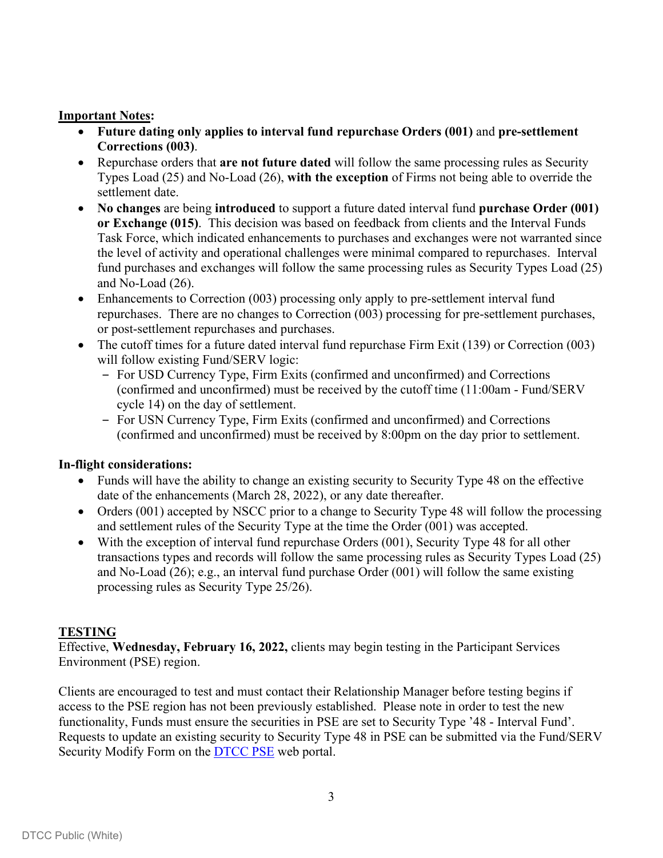#### **Important Notes:**

- **Future dating only applies to interval fund repurchase Orders (001)** and **pre-settlement Corrections (003)**.
- Repurchase orders that **are not future dated** will follow the same processing rules as Security Types Load (25) and No-Load (26), **with the exception** of Firms not being able to override the settlement date.
- **No changes** are being **introduced** to support a future dated interval fund **purchase Order (001) or Exchange (015)**. This decision was based on feedback from clients and the Interval Funds Task Force, which indicated enhancements to purchases and exchanges were not warranted since the level of activity and operational challenges were minimal compared to repurchases. Interval fund purchases and exchanges will follow the same processing rules as Security Types Load (25) and No-Load (26).
- Enhancements to Correction (003) processing only apply to pre-settlement interval fund repurchases. There are no changes to Correction (003) processing for pre-settlement purchases, or post-settlement repurchases and purchases.
- The cutoff times for a future dated interval fund repurchase Firm Exit (139) or Correction (003) will follow existing Fund/SERV logic:
	- ‒ For USD Currency Type, Firm Exits (confirmed and unconfirmed) and Corrections (confirmed and unconfirmed) must be received by the cutoff time (11:00am - Fund/SERV cycle 14) on the day of settlement.
	- ‒ For USN Currency Type, Firm Exits (confirmed and unconfirmed) and Corrections (confirmed and unconfirmed) must be received by 8:00pm on the day prior to settlement.

#### **In-flight considerations:**

- Funds will have the ability to change an existing security to Security Type 48 on the effective date of the enhancements (March 28, 2022), or any date thereafter.
- Orders (001) accepted by NSCC prior to a change to Security Type 48 will follow the processing and settlement rules of the Security Type at the time the Order (001) was accepted.
- With the exception of interval fund repurchase Orders (001), Security Type 48 for all other transactions types and records will follow the same processing rules as Security Types Load (25) and No-Load (26); e.g., an interval fund purchase Order (001) will follow the same existing processing rules as Security Type 25/26).

#### **TESTING**

Effective, **Wednesday, February 16, 2022,** clients may begin testing in the Participant Services Environment (PSE) region.

Clients are encouraged to test and must contact their Relationship Manager before testing begins if access to the PSE region has not been previously established. Please note in order to test the new functionality, Funds must ensure the securities in PSE are set to Security Type '48 - Interval Fund'. Requests to update an existing security to Security Type 48 in PSE can be submitted via the Fund/SERV Security Modify Form on the [DTCC](https://portalu.dtcc.com/wpsnew/portal/mainpage.do) PSE web portal.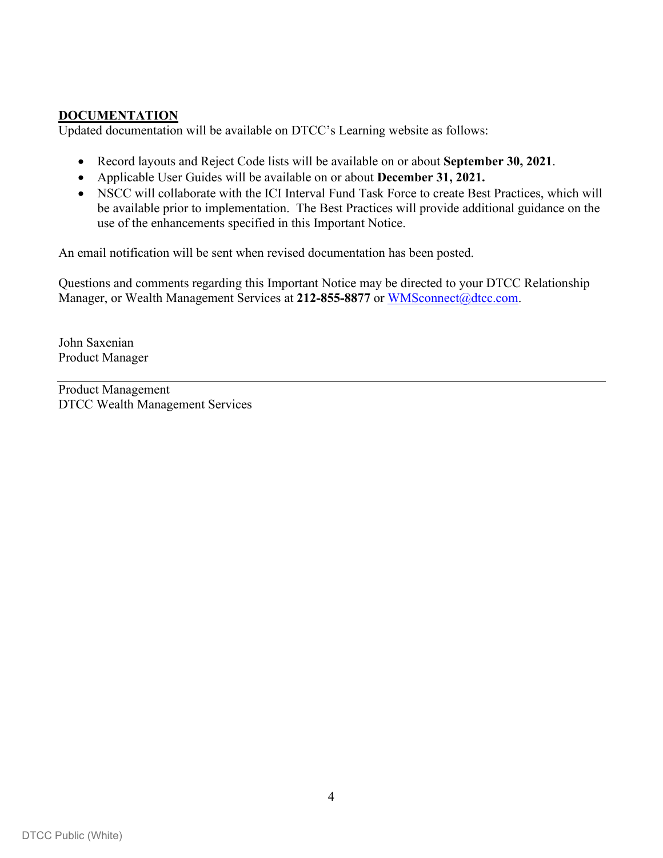# **DOCUMENTATION**

Updated documentation will be available on DTCC's Learning website as follows:

- Record layouts and Reject Code lists will be available on or about **September 30, 2021**.
- Applicable User Guides will be available on or about **December 31, 2021.**
- NSCC will collaborate with the ICI Interval Fund Task Force to create Best Practices, which will be available prior to implementation. The Best Practices will provide additional guidance on the use of the enhancements specified in this Important Notice.

An email notification will be sent when revised documentation has been posted.

Questions and comments regarding this Important Notice may be directed to your DTCC Relationship Manager, or Wealth Management Services at 212-855-8877 or [WMSconnect@dtcc.com.](mailto:WMSconnect@dtcc.com)

John Saxenian Product Manager

Product Management DTCC Wealth Management Services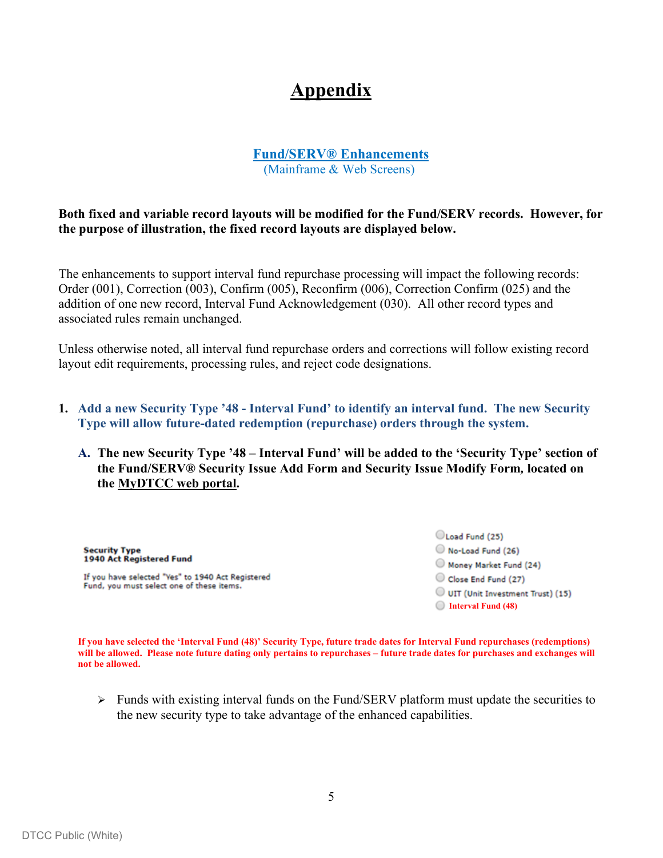# **Appendix**

#### **Fund/SERV® Enhancements** (Mainframe & Web Screens)

**Both fixed and variable record layouts will be modified for the Fund/SERV records. However, for the purpose of illustration, the fixed record layouts are displayed below.**

The enhancements to support interval fund repurchase processing will impact the following records: Order (001), Correction (003), Confirm (005), Reconfirm (006), Correction Confirm (025) and the addition of one new record, Interval Fund Acknowledgement (030). All other record types and associated rules remain unchanged.

Unless otherwise noted, all interval fund repurchase orders and corrections will follow existing record layout edit requirements, processing rules, and reject code designations.

- **1. Add a new Security Type '48 - Interval Fund' to identify an interval fund. The new Security Type will allow future-dated redemption (repurchase) orders through the system.** 
	- **A. The new Security Type '48 – Interval Fund' will be added to the 'Security Type' section of the Fund/SERV® Security Issue Add Form and Security Issue Modify Form***,* **located on the [MyDTCC web portal.](https://portal.dtcc.com/)**

**Security Type** 1940 Act Registered Fund

If you have selected "Yes" to 1940 Act Registered Fund, you must select one of these items.

Load Fund (25) No-Load Fund (26) Money Market Fund (24) Close End Fund (27) UIT (Unit Investment Trust) (15) **Interval Fund (48)**

**If you have selected the 'Interval Fund (48)' Security Type, future trade dates for Interval Fund repurchases (redemptions) will be allowed. Please note future dating only pertains to repurchases – future trade dates for purchases and exchanges will not be allowed.** 

 $\triangleright$  Funds with existing interval funds on the Fund/SERV platform must update the securities to the new security type to take advantage of the enhanced capabilities.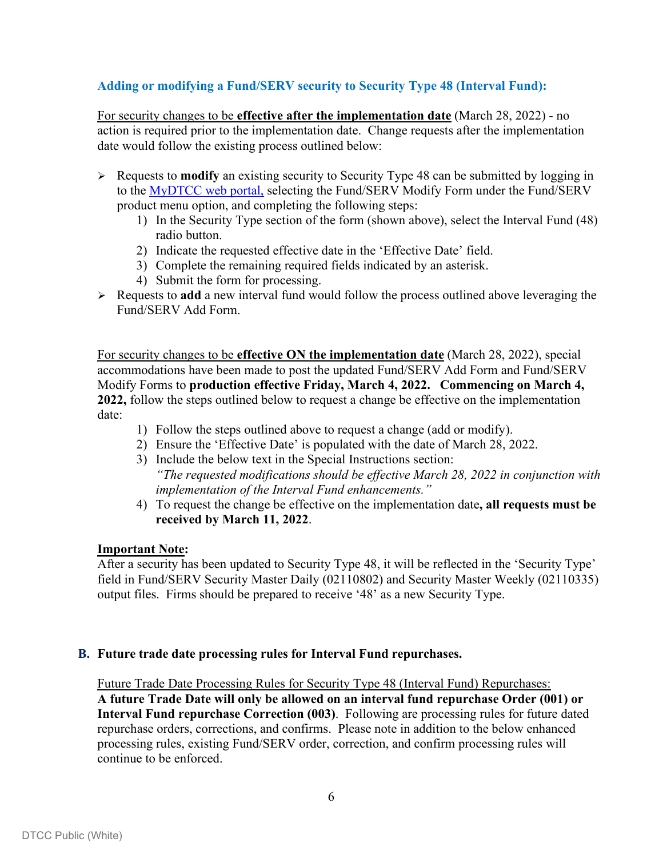# **Adding or modifying a Fund/SERV security to Security Type 48 (Interval Fund):**

For security changes to be **effective after the implementation date** (March 28, 2022) - no action is required prior to the implementation date. Change requests after the implementation date would follow the existing process outlined below:

- Requests to **modify** an existing security to Security Type 48 can be submitted by logging in to the [MyDTCC web portal,](https://portal.dtcc.com/) selecting the Fund/SERV Modify Form under the Fund/SERV product menu option, and completing the following steps:
	- 1) In the Security Type section of the form (shown above), select the Interval Fund (48) radio button.
	- 2) Indicate the requested effective date in the 'Effective Date' field.
	- 3) Complete the remaining required fields indicated by an asterisk.
	- 4) Submit the form for processing.
- Requests to **add** a new interval fund would follow the process outlined above leveraging the Fund/SERV Add Form.

For security changes to be **effective ON the implementation date** (March 28, 2022), special accommodations have been made to post the updated Fund/SERV Add Form and Fund/SERV Modify Forms to **production effective Friday, March 4, 2022. Commencing on March 4, 2022,** follow the steps outlined below to request a change be effective on the implementation date:

- 1) Follow the steps outlined above to request a change (add or modify).
- 2) Ensure the 'Effective Date' is populated with the date of March 28, 2022.
- 3) Include the below text in the Special Instructions section: *"The requested modifications should be effective March 28, 2022 in conjunction with implementation of the Interval Fund enhancements."*
- 4) To request the change be effective on the implementation date**, all requests must be received by March 11, 2022**.

#### **Important Note:**

After a security has been updated to Security Type 48, it will be reflected in the 'Security Type' field in Fund/SERV Security Master Daily (02110802) and Security Master Weekly (02110335) output files. Firms should be prepared to receive '48' as a new Security Type.

#### **B. Future trade date processing rules for Interval Fund repurchases.**

Future Trade Date Processing Rules for Security Type 48 (Interval Fund) Repurchases: **A future Trade Date will only be allowed on an interval fund repurchase Order (001) or Interval Fund repurchase Correction (003)**. Following are processing rules for future dated repurchase orders, corrections, and confirms. Please note in addition to the below enhanced processing rules, existing Fund/SERV order, correction, and confirm processing rules will continue to be enforced.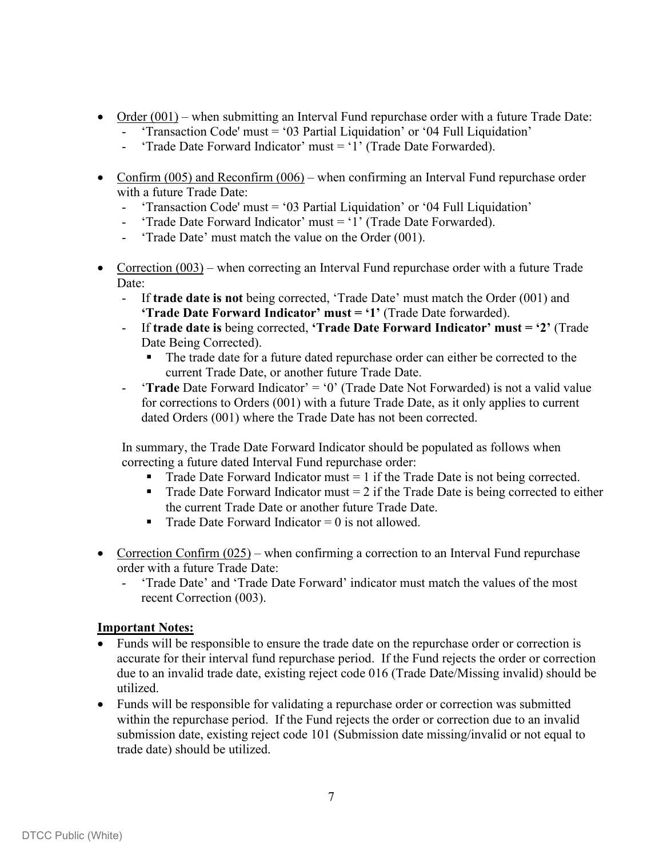- Order (001) when submitting an Interval Fund repurchase order with a future Trade Date:
	- 'Transaction Code' must = '03 Partial Liquidation' or '04 Full Liquidation'
	- 'Trade Date Forward Indicator' must = '1' (Trade Date Forwarded).
- Confirm  $(005)$  and Reconfirm  $(006)$  when confirming an Interval Fund repurchase order with a future Trade Date:
	- 'Transaction Code' must = '03 Partial Liquidation' or '04 Full Liquidation'
	- 'Trade Date Forward Indicator' must = '1' (Trade Date Forwarded).
	- 'Trade Date' must match the value on the Order (001).
- Correction  $(003)$  when correcting an Interval Fund repurchase order with a future Trade Date:
	- If **trade date is not** being corrected, 'Trade Date' must match the Order (001) and **'Trade Date Forward Indicator' must = '1'** (Trade Date forwarded).
	- If **trade date is** being corrected, **'Trade Date Forward Indicator' must = '2'** (Trade Date Being Corrected).
		- The trade date for a future dated repurchase order can either be corrected to the current Trade Date, or another future Trade Date.
	- '**Trade** Date Forward Indicator' = '0' (Trade Date Not Forwarded) is not a valid value for corrections to Orders (001) with a future Trade Date, as it only applies to current dated Orders (001) where the Trade Date has not been corrected.

In summary, the Trade Date Forward Indicator should be populated as follows when correcting a future dated Interval Fund repurchase order:

- Trade Date Forward Indicator must  $= 1$  if the Trade Date is not being corrected.
- Trade Date Forward Indicator must  $= 2$  if the Trade Date is being corrected to either the current Trade Date or another future Trade Date.
- Trade Date Forward Indicator =  $\theta$  is not allowed.
- Correction Confirm  $(0.025)$  when confirming a correction to an Interval Fund repurchase order with a future Trade Date:
	- 'Trade Date' and 'Trade Date Forward' indicator must match the values of the most recent Correction (003).

- Funds will be responsible to ensure the trade date on the repurchase order or correction is accurate for their interval fund repurchase period. If the Fund rejects the order or correction due to an invalid trade date, existing reject code 016 (Trade Date/Missing invalid) should be utilized.
- Funds will be responsible for validating a repurchase order or correction was submitted within the repurchase period. If the Fund rejects the order or correction due to an invalid submission date, existing reject code 101 (Submission date missing/invalid or not equal to trade date) should be utilized.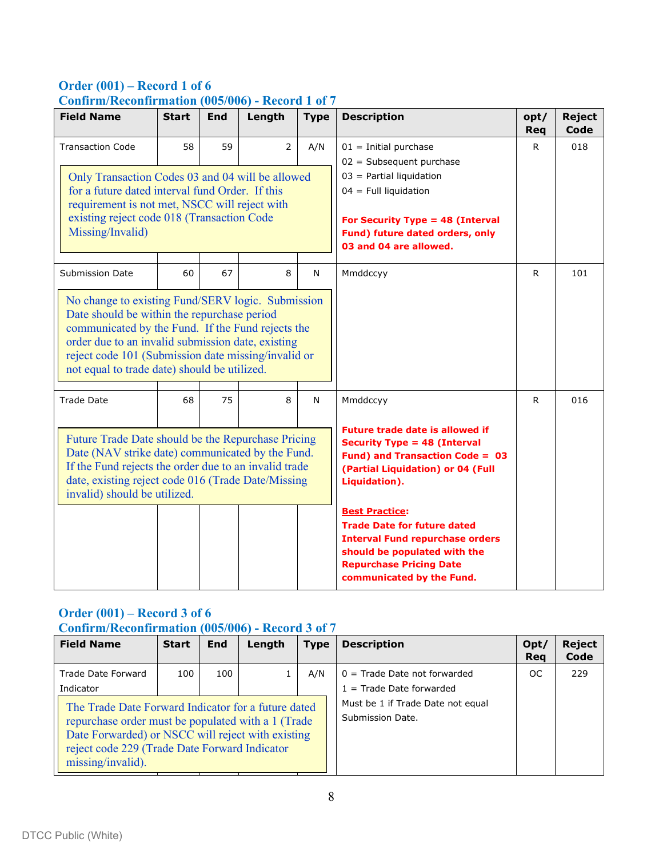# **Order (001) – Record 1 of 6 Confirm/Reconfirmation (005/006) - Record 1 of 7**

| <b>Field Name</b>                                                                                                                                                                                                                                                                                                                           | <b>Start</b> | <b>End</b> | Length         | <b>Type</b>                                                                                                                                                                                                                                                                                                                                                   | <b>Description</b>                                                                                                                                                                                              | opt/<br><b>Req</b> | <b>Reject</b><br>Code |
|---------------------------------------------------------------------------------------------------------------------------------------------------------------------------------------------------------------------------------------------------------------------------------------------------------------------------------------------|--------------|------------|----------------|---------------------------------------------------------------------------------------------------------------------------------------------------------------------------------------------------------------------------------------------------------------------------------------------------------------------------------------------------------------|-----------------------------------------------------------------------------------------------------------------------------------------------------------------------------------------------------------------|--------------------|-----------------------|
| <b>Transaction Code</b><br>Only Transaction Codes 03 and 04 will be allowed<br>for a future dated interval fund Order. If this<br>requirement is not met, NSCC will reject with<br>existing reject code 018 (Transaction Code<br>Missing/Invalid)                                                                                           | 58           | 59         | $\overline{2}$ | A/N                                                                                                                                                                                                                                                                                                                                                           | $01 =$ Initial purchase<br>$02 = Subsequent purchase$<br>$03$ = Partial liquidation<br>$04$ = Full liquidation<br>For Security Type = 48 (Interval<br>Fund) future dated orders, only<br>03 and 04 are allowed. | $\mathsf{R}$       | 018                   |
| <b>Submission Date</b><br>No change to existing Fund/SERV logic. Submission<br>Date should be within the repurchase period<br>communicated by the Fund. If the Fund rejects the<br>order due to an invalid submission date, existing<br>reject code 101 (Submission date missing/invalid or<br>not equal to trade date) should be utilized. | 60           | 67         | 8              | N                                                                                                                                                                                                                                                                                                                                                             | Mmddccyy                                                                                                                                                                                                        | R.                 | 101                   |
| <b>Trade Date</b><br>Future Trade Date should be the Repurchase Pricing<br>Date (NAV strike date) communicated by the Fund.<br>If the Fund rejects the order due to an invalid trade<br>date, existing reject code 016 (Trade Date/Missing<br>invalid) should be utilized.                                                                  | 68           | 75         | 8              | Mmddccyy<br><b>Future trade date is allowed if</b><br><b>Security Type = 48 (Interval</b><br>Fund) and Transaction Code = 03<br>(Partial Liquidation) or 04 (Full<br>Liquidation).<br><b>Best Practice:</b><br><b>Trade Date for future dated</b><br><b>Interval Fund repurchase orders</b><br>should be populated with the<br><b>Repurchase Pricing Date</b> | R.                                                                                                                                                                                                              | 016                |                       |

# **Order (001) – Record 3 of 6 Confirm/Reconfirmation (005/006) - Record 3 of 7**

| <b>Field Name</b>                                                                                                                                                                                                                     | <b>Start</b> | <b>End</b> | Length | <b>Type</b> | <b>Description</b>                                           | Opt/<br>Reg | <b>Reject</b><br>Code |
|---------------------------------------------------------------------------------------------------------------------------------------------------------------------------------------------------------------------------------------|--------------|------------|--------|-------------|--------------------------------------------------------------|-------------|-----------------------|
| Trade Date Forward<br>Indicator                                                                                                                                                                                                       | 100          | 100        |        | A/N         | $0 =$ Trade Date not forwarded<br>$1 =$ Trade Date forwarded | OC.         | 229                   |
| The Trade Date Forward Indicator for a future dated<br>repurchase order must be populated with a 1 (Trade)<br>Date Forwarded) or NSCC will reject with existing<br>reject code 229 (Trade Date Forward Indicator<br>missing/invalid). |              |            |        |             | Must be 1 if Trade Date not equal<br>Submission Date.        |             |                       |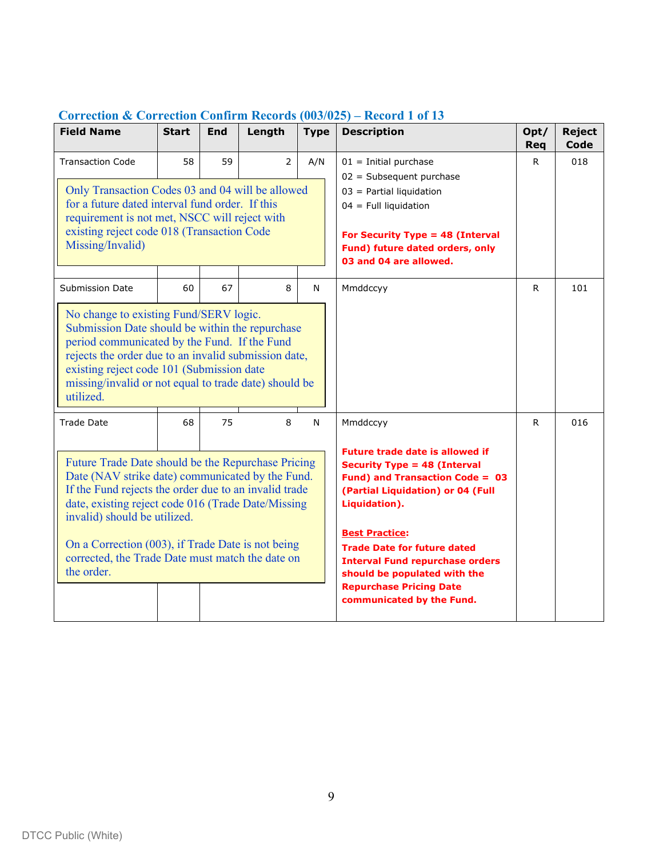| <b>Field Name</b>                                                                                                                                                                                                                                                                                                                                                                          | <b>Start</b> | End | Length         | <b>Type</b>  | <b>Description</b>                                                                                                                                                                                                                                                                                                                                                                         | Opt/<br><b>Req</b> | <b>Reject</b><br>Code |
|--------------------------------------------------------------------------------------------------------------------------------------------------------------------------------------------------------------------------------------------------------------------------------------------------------------------------------------------------------------------------------------------|--------------|-----|----------------|--------------|--------------------------------------------------------------------------------------------------------------------------------------------------------------------------------------------------------------------------------------------------------------------------------------------------------------------------------------------------------------------------------------------|--------------------|-----------------------|
| <b>Transaction Code</b><br>Only Transaction Codes 03 and 04 will be allowed<br>for a future dated interval fund order. If this<br>requirement is not met, NSCC will reject with<br>existing reject code 018 (Transaction Code<br>Missing/Invalid)                                                                                                                                          | 58           | 59  | $\overline{2}$ | A/N          | $01 =$ Initial purchase<br>$02 = Subsequent purchase$<br>$03$ = Partial liquidation<br>$04$ = Full liquidation<br>For Security Type = 48 (Interval<br>Fund) future dated orders, only<br>03 and 04 are allowed.                                                                                                                                                                            | R.                 | 018                   |
| <b>Submission Date</b><br>No change to existing Fund/SERV logic.<br>Submission Date should be within the repurchase<br>period communicated by the Fund. If the Fund<br>rejects the order due to an invalid submission date,<br>existing reject code 101 (Submission date<br>missing/invalid or not equal to trade date) should be<br>utilized.                                             | 60           | 67  | 8              | $\mathsf{N}$ | Mmddccyy                                                                                                                                                                                                                                                                                                                                                                                   | $\mathsf{R}$       | 101                   |
| Trade Date<br>Future Trade Date should be the Repurchase Pricing<br>Date (NAV strike date) communicated by the Fund.<br>If the Fund rejects the order due to an invalid trade<br>date, existing reject code 016 (Trade Date/Missing<br>invalid) should be utilized.<br>On a Correction (003), if Trade Date is not being<br>corrected, the Trade Date must match the date on<br>the order. | 68           | 75  | 8              | $\mathsf{N}$ | Mmddccyy<br><b>Future trade date is allowed if</b><br><b>Security Type = 48 (Interval</b><br>Fund) and Transaction Code = 03<br>(Partial Liquidation) or 04 (Full<br>Liquidation).<br><b>Best Practice:</b><br><b>Trade Date for future dated</b><br><b>Interval Fund repurchase orders</b><br>should be populated with the<br><b>Repurchase Pricing Date</b><br>communicated by the Fund. | R.                 | 016                   |

# **Correction & Correction Confirm Records (003/025) – Record 1 of 13**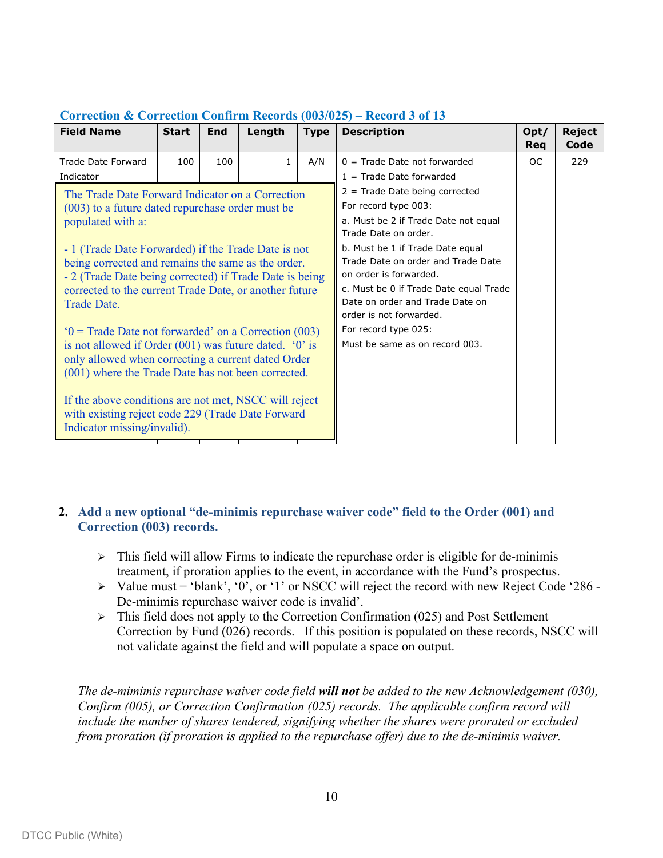| <b>Field Name</b>                                                                                                                                                                                                                                                                                                                                                                                                                                                                                                                                                                                                                                                                                                                                        | <b>Start</b> | End | Length       | <b>Type</b> | <b>Description</b>                                                                                                                                                                                                                                                                                                                                                                             | Opt/<br>Req | <b>Reject</b><br>Code |
|----------------------------------------------------------------------------------------------------------------------------------------------------------------------------------------------------------------------------------------------------------------------------------------------------------------------------------------------------------------------------------------------------------------------------------------------------------------------------------------------------------------------------------------------------------------------------------------------------------------------------------------------------------------------------------------------------------------------------------------------------------|--------------|-----|--------------|-------------|------------------------------------------------------------------------------------------------------------------------------------------------------------------------------------------------------------------------------------------------------------------------------------------------------------------------------------------------------------------------------------------------|-------------|-----------------------|
| Trade Date Forward<br>Indicator                                                                                                                                                                                                                                                                                                                                                                                                                                                                                                                                                                                                                                                                                                                          | 100          | 100 | $\mathbf{1}$ | A/N         | $0 =$ Trade Date not forwarded<br>$1 =$ Trade Date forwarded                                                                                                                                                                                                                                                                                                                                   | OC.         | 229                   |
| The Trade Date Forward Indicator on a Correction<br>(003) to a future dated repurchase order must be<br>populated with a:<br>- 1 (Trade Date Forwarded) if the Trade Date is not<br>being corrected and remains the same as the order.<br>- 2 (Trade Date being corrected) if Trade Date is being<br>corrected to the current Trade Date, or another future<br>Trade Date.<br>$0 =$ Trade Date not forwarded' on a Correction (003)<br>is not allowed if Order $(001)$ was future dated. '0' is<br>only allowed when correcting a current dated Order<br>(001) where the Trade Date has not been corrected.<br>If the above conditions are not met, NSCC will reject<br>with existing reject code 229 (Trade Date Forward<br>Indicator missing/invalid). |              |     |              |             | $2$ = Trade Date being corrected<br>For record type 003:<br>a. Must be 2 if Trade Date not equal<br>Trade Date on order.<br>b. Must be 1 if Trade Date equal<br>Trade Date on order and Trade Date<br>on order is forwarded.<br>c. Must be 0 if Trade Date equal Trade<br>Date on order and Trade Date on<br>order is not forwarded.<br>For record type 025:<br>Must be same as on record 003. |             |                       |

# **Correction & Correction Confirm Records (003/025) – Record 3 of 13**

# **2. Add a new optional "de-minimis repurchase waiver code" field to the Order (001) and Correction (003) records.**

- $\triangleright$  This field will allow Firms to indicate the repurchase order is eligible for de-minimis treatment, if proration applies to the event, in accordance with the Fund's prospectus.
- $\triangleright$  Value must = 'blank', '0', or '1' or NSCC will reject the record with new Reject Code '286 -De-minimis repurchase waiver code is invalid'.
- $\triangleright$  This field does not apply to the Correction Confirmation (025) and Post Settlement Correction by Fund (026) records. If this position is populated on these records, NSCC will not validate against the field and will populate a space on output.

*The de-mimimis repurchase waiver code field will not be added to the new Acknowledgement (030), Confirm (005), or Correction Confirmation (025) records. The applicable confirm record will include the number of shares tendered, signifying whether the shares were prorated or excluded from proration (if proration is applied to the repurchase offer) due to the de-minimis waiver.*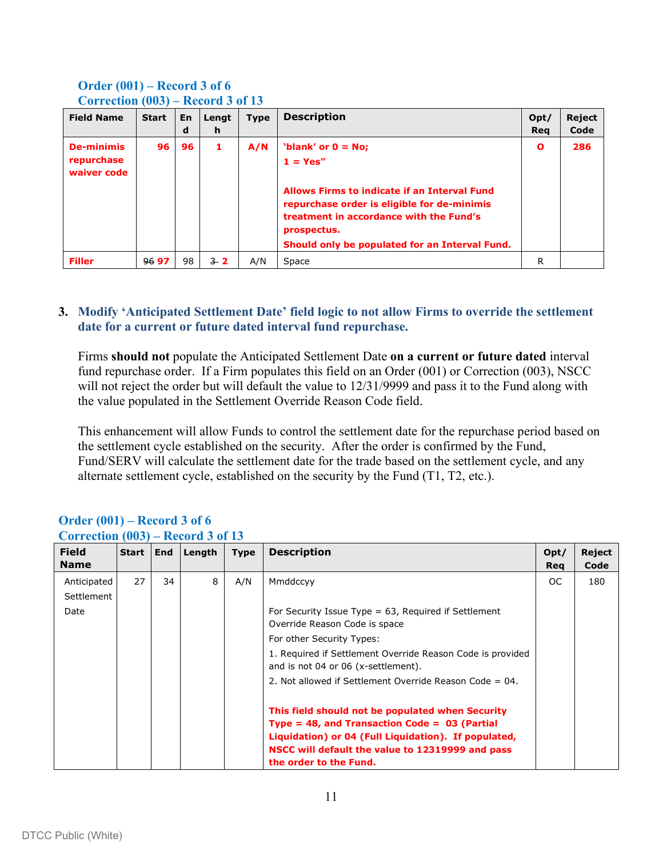| <b>Field Name</b>                              | <b>Start</b> | <b>En</b><br>d | Lengt<br>h | <b>Type</b> | <b>Description</b>                                                                                                                                                                                                                              | Opt/<br>Reg  | Reject<br>Code |
|------------------------------------------------|--------------|----------------|------------|-------------|-------------------------------------------------------------------------------------------------------------------------------------------------------------------------------------------------------------------------------------------------|--------------|----------------|
| <b>De-minimis</b><br>repurchase<br>waiver code | 96           | 96             | 1          | A/N         | 'blank' or $0 = No$ ;<br>$1 = Yes''$<br>Allows Firms to indicate if an Interval Fund<br>repurchase order is eligible for de-minimis<br>treatment in accordance with the Fund's<br>prospectus.<br>Should only be populated for an Interval Fund. | $\mathbf{o}$ | 286            |
| <b>Filler</b>                                  | 9697         | 98             | $-3$ 2     | A/N         | Space                                                                                                                                                                                                                                           | R            |                |

#### **Order (001) – Record 3 of 6 Correction (003) – Record 3 of 13**

#### **3. Modify 'Anticipated Settlement Date' field logic to not allow Firms to override the settlement date for a current or future dated interval fund repurchase.**

Firms **should not** populate the Anticipated Settlement Date **on a current or future dated** interval fund repurchase order. If a Firm populates this field on an Order (001) or Correction (003), NSCC will not reject the order but will default the value to 12/31/9999 and pass it to the Fund along with the value populated in the Settlement Override Reason Code field.

This enhancement will allow Funds to control the settlement date for the repurchase period based on the settlement cycle established on the security. After the order is confirmed by the Fund, Fund/SERV will calculate the settlement date for the trade based on the settlement cycle, and any alternate settlement cycle, established on the security by the Fund (T1, T2, etc.).

| Correction $(003)$ – Record 3 of 13 |              |            |        |             |                                                                                                                                                                                                                                                                                                   |             |                |  |  |  |
|-------------------------------------|--------------|------------|--------|-------------|---------------------------------------------------------------------------------------------------------------------------------------------------------------------------------------------------------------------------------------------------------------------------------------------------|-------------|----------------|--|--|--|
| <b>Field</b><br><b>Name</b>         | <b>Start</b> | <b>End</b> | Length | <b>Type</b> | <b>Description</b>                                                                                                                                                                                                                                                                                | Opt/<br>Req | Reject<br>Code |  |  |  |
| Anticipated<br>Settlement<br>Date   | 27           | 34         | 8      | A/N         | Mmddccyy<br>For Security Issue Type $= 63$ , Required if Settlement<br>Override Reason Code is space<br>For other Security Types:<br>1. Required if Settlement Override Reason Code is provided<br>and is not 04 or 06 (x-settlement).<br>2. Not allowed if Settlement Override Reason Code = 04. | OC.         | 180            |  |  |  |
|                                     |              |            |        |             | This field should not be populated when Security<br>Type = 48, and Transaction Code = $03$ (Partial<br>Liquidation) or 04 (Full Liquidation). If populated,<br>NSCC will default the value to 12319999 and pass<br>the order to the Fund.                                                         |             |                |  |  |  |

# **Order (001) – Record 3 of 6**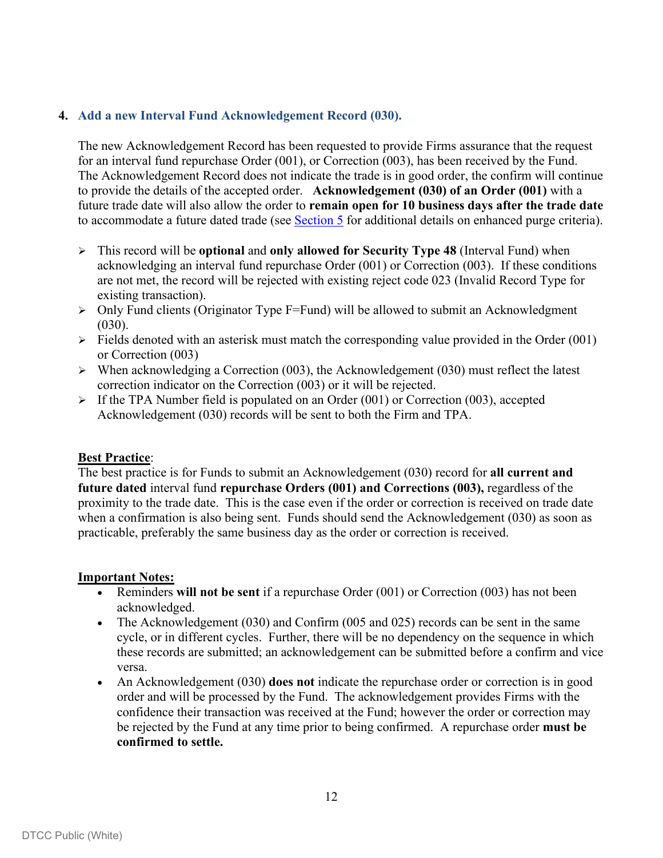## **4. Add a new Interval Fund Acknowledgement Record (030).**

The new Acknowledgement Record has been requested to provide Firms assurance that the request for an interval fund repurchase Order (001), or Correction (003), has been received by the Fund. The Acknowledgement Record does not indicate the trade is in good order, the confirm will continue to provide the details of the accepted order. **Acknowledgement (030) of an Order (001)** with a future trade date will also allow the order to **remain open for 10 business days after the trade date** to accommodate a future dated trade (see [Section 5](#page-14-0) for additional details on enhanced purge criteria).

- This record will be **optional** and **only allowed for Security Type 48** (Interval Fund) when acknowledging an interval fund repurchase Order (001) or Correction (003). If these conditions are not met, the record will be rejected with existing reject code 023 (Invalid Record Type for existing transaction).
- $\geq$  Only Fund clients (Originator Type F=Fund) will be allowed to submit an Acknowledgment  $(030)$ .
- $\triangleright$  Fields denoted with an asterisk must match the corresponding value provided in the Order (001) or Correction (003)
- $\triangleright$  When acknowledging a Correction (003), the Acknowledgement (030) must reflect the latest correction indicator on the Correction (003) or it will be rejected.
- $\triangleright$  If the TPA Number field is populated on an Order (001) or Correction (003), accepted Acknowledgement (030) records will be sent to both the Firm and TPA.

#### **Best Practice**:

The best practice is for Funds to submit an Acknowledgement (030) record for **all current and future dated** interval fund **repurchase Orders (001) and Corrections (003),** regardless of the proximity to the trade date. This is the case even if the order or correction is received on trade date when a confirmation is also being sent. Funds should send the Acknowledgement (030) as soon as practicable, preferably the same business day as the order or correction is received.

- Reminders **will not be sent** if a repurchase Order (001) or Correction (003) has not been acknowledged.
- The Acknowledgement (030) and Confirm (005 and 025) records can be sent in the same cycle, or in different cycles. Further, there will be no dependency on the sequence in which these records are submitted; an acknowledgement can be submitted before a confirm and vice versa.
- An Acknowledgement (030) **does not** indicate the repurchase order or correction is in good order and will be processed by the Fund. The acknowledgement provides Firms with the confidence their transaction was received at the Fund; however the order or correction may be rejected by the Fund at any time prior to being confirmed. A repurchase order **must be confirmed to settle.**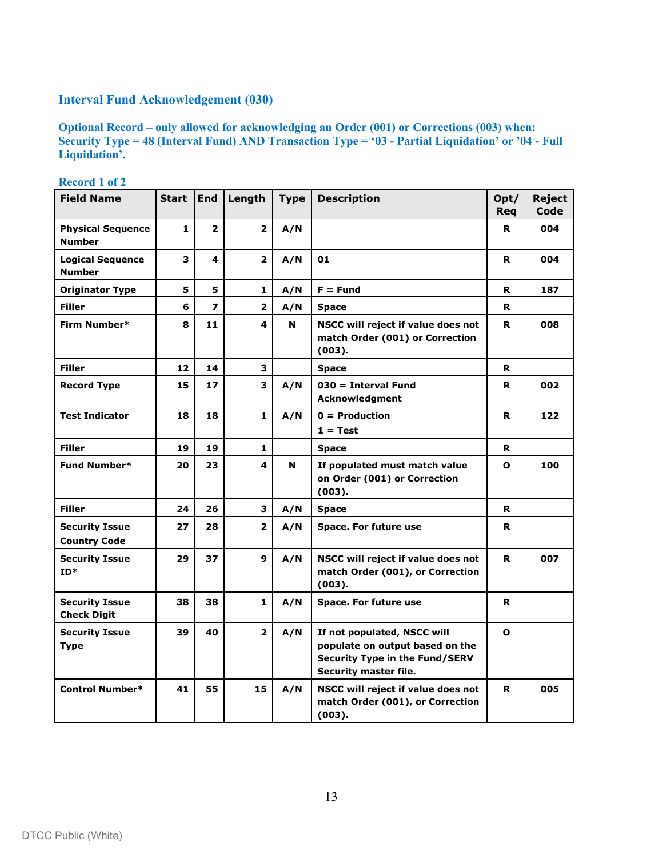# **Interval Fund Acknowledgement (030)**

**Optional Record – only allowed for acknowledging an Order (001) or Corrections (003) when: Security Type = 48 (Interval Fund) AND Transaction Type = '03 - Partial Liquidation' or '04 - Full Liquidation'.**

| <b>Field Name</b>                            | <b>Start</b>      | <b>End</b>               | Length         | <b>Type</b> | <b>Description</b>                                                                                                               | Opt/<br>Reg  | <b>Reject</b><br>Code |
|----------------------------------------------|-------------------|--------------------------|----------------|-------------|----------------------------------------------------------------------------------------------------------------------------------|--------------|-----------------------|
| <b>Physical Sequence</b><br><b>Number</b>    | 1                 | $\overline{2}$           | $\overline{2}$ | A/N         |                                                                                                                                  | R            | 004                   |
| <b>Logical Sequence</b><br><b>Number</b>     | 3                 | 4                        | $\overline{2}$ | A/N         | 01                                                                                                                               | R            | 004                   |
| <b>Originator Type</b>                       | 5                 | 5                        | 1              | A/N         | $F = Fund$                                                                                                                       | R            | 187                   |
| <b>Filler</b>                                | 6                 | $\overline{\phantom{a}}$ | $\overline{2}$ | A/N         | <b>Space</b>                                                                                                                     | R            |                       |
| Firm Number*                                 | 8                 | 11                       | 4              | N           | NSCC will reject if value does not<br>match Order (001) or Correction<br>(003).                                                  | R            | 008                   |
| <b>Filler</b>                                | $12 \overline{ }$ | 14                       | 3              |             | <b>Space</b>                                                                                                                     | R            |                       |
| <b>Record Type</b>                           | 15                | 17                       | 3              | A/N         | $030 = Interval Fund$<br>Acknowledgment                                                                                          | R            | 002                   |
| <b>Test Indicator</b>                        | 18                | 18                       | $\mathbf{1}$   | A/N         | $0 =$ Production<br>$1 = Test$                                                                                                   | R            | 122                   |
| <b>Filler</b>                                | 19                | 19                       | $\mathbf{1}$   |             | <b>Space</b>                                                                                                                     | R.           |                       |
| <b>Fund Number*</b>                          | 20                | 23                       | 4              | N           | If populated must match value<br>on Order (001) or Correction<br>(003).                                                          | O            | 100                   |
| <b>Filler</b>                                | 24                | 26                       | 3              | A/N         | <b>Space</b>                                                                                                                     | R            |                       |
| <b>Security Issue</b><br><b>Country Code</b> | 27                | 28                       | $\overline{2}$ | A/N         | Space. For future use                                                                                                            | R            |                       |
| <b>Security Issue</b><br>$ID*$               | 29                | 37                       | 9              | A/N         | NSCC will reject if value does not<br>match Order (001), or Correction<br>(003).                                                 | R            | 007                   |
| <b>Security Issue</b><br><b>Check Digit</b>  | 38                | 38                       | $\mathbf{1}$   | A/N         | Space. For future use                                                                                                            | R            |                       |
| <b>Security Issue</b><br><b>Type</b>         | 39                | 40                       | $\mathbf{2}$   | A/N         | If not populated, NSCC will<br>populate on output based on the<br><b>Security Type in the Fund/SERV</b><br>Security master file. | $\mathbf{o}$ |                       |
| <b>Control Number*</b>                       | 41                | 55                       | 15             | A/N         | NSCC will reject if value does not<br>match Order (001), or Correction<br>(003).                                                 | R            | 005                   |

**Record 1 of 2**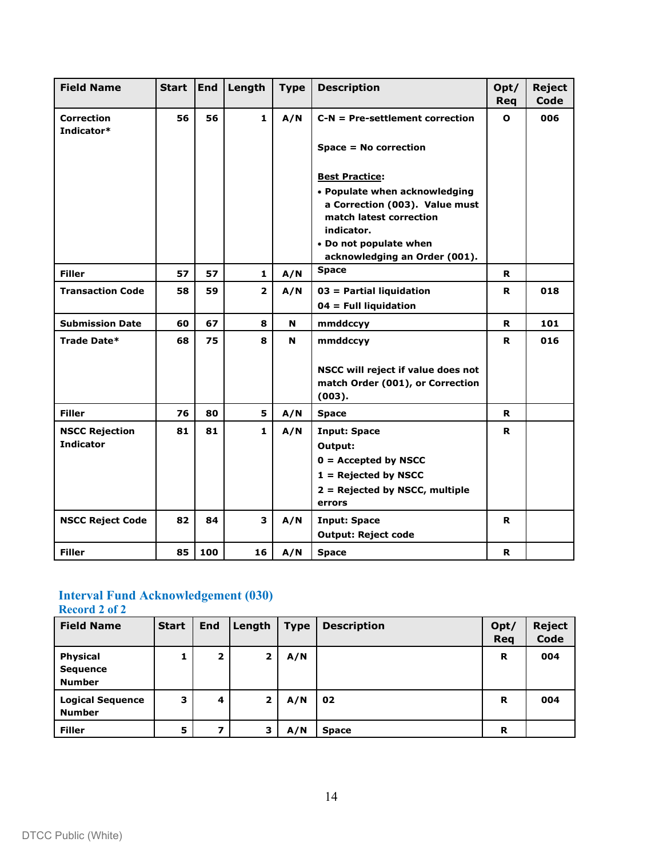| <b>Field Name</b>               | <b>Start</b> | <b>End</b> | Length         | <b>Type</b> | <b>Description</b>                            | Opt/<br><b>Req</b> | <b>Reject</b><br>Code |
|---------------------------------|--------------|------------|----------------|-------------|-----------------------------------------------|--------------------|-----------------------|
| <b>Correction</b><br>Indicator* | 56           | 56         | $\mathbf{1}$   | A/N         | $C-N = Pre-set$ tement correction             | $\Omega$           | 006                   |
|                                 |              |            |                |             | Space = No correction                         |                    |                       |
|                                 |              |            |                |             | <b>Best Practice:</b>                         |                    |                       |
|                                 |              |            |                |             | • Populate when acknowledging                 |                    |                       |
|                                 |              |            |                |             | a Correction (003). Value must                |                    |                       |
|                                 |              |            |                |             | match latest correction                       |                    |                       |
|                                 |              |            |                |             | indicator.                                    |                    |                       |
|                                 |              |            |                |             | • Do not populate when                        |                    |                       |
|                                 |              |            |                |             | acknowledging an Order (001).<br><b>Space</b> |                    |                       |
| <b>Filler</b>                   | 57           | 57         | $\mathbf{1}$   | A/N         |                                               | R.                 |                       |
| <b>Transaction Code</b>         | 58           | 59         | $\overline{2}$ | A/N         | 03 = Partial liquidation                      | R                  | 018                   |
|                                 |              |            |                |             | $04 =$ Full liquidation                       |                    |                       |
| <b>Submission Date</b>          | 60           | 67         | 8              | N           | mmddccyy                                      | R.                 | 101                   |
| Trade Date*                     | 68           | 75         | 8              | N           | mmddccvv                                      | R                  | 016                   |
|                                 |              |            |                |             | NSCC will reject if value does not            |                    |                       |
|                                 |              |            |                |             | match Order (001), or Correction              |                    |                       |
|                                 |              |            |                |             | (003).                                        |                    |                       |
| <b>Filler</b>                   | 76           | 80         | 5              | A/N         | <b>Space</b>                                  | R                  |                       |
| <b>NSCC Rejection</b>           | 81           | 81         | $\mathbf{1}$   | A/N         | <b>Input: Space</b>                           | R.                 |                       |
| <b>Indicator</b>                |              |            |                |             | Output:                                       |                    |                       |
|                                 |              |            |                |             | $0 =$ Accepted by NSCC                        |                    |                       |
|                                 |              |            |                |             | $1 =$ Rejected by NSCC                        |                    |                       |
|                                 |              |            |                |             | 2 = Rejected by NSCC, multiple                |                    |                       |
|                                 |              |            |                |             | errors                                        |                    |                       |
| <b>NSCC Reject Code</b>         | 82           | 84         | 3              | A/N         | <b>Input: Space</b>                           | R                  |                       |
|                                 |              |            |                |             | <b>Output: Reject code</b>                    |                    |                       |
| <b>Filler</b>                   | 85           | 100        | 16             | A/N         | <b>Space</b>                                  | R                  |                       |

#### **Interval Fund Acknowledgement (030) Record 2 of 2**

**Field Name Start End Length Type Description Opt/ Req Reject Code Physical Sequence Number 1 2 2 A/N R 004 Logical Sequence Number 3 4 2 A/N 02 R 004 Filler 5 7 3 A/N Space R**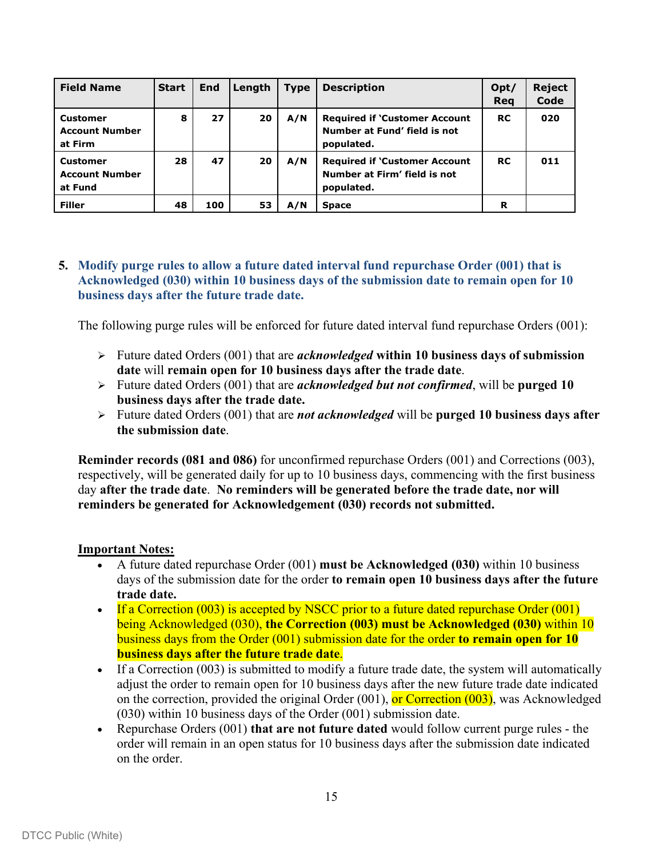| <b>Field Name</b>                                   | <b>Start</b> | <b>End</b> | Length | <b>Type</b> | <b>Description</b>                                                                 | Opt/<br>Reg | <b>Reject</b><br>Code |
|-----------------------------------------------------|--------------|------------|--------|-------------|------------------------------------------------------------------------------------|-------------|-----------------------|
| <b>Customer</b><br><b>Account Number</b><br>at Firm | 8            | 27         | 20     | A/N         | <b>Required if 'Customer Account</b><br>Number at Fund' field is not<br>populated. | <b>RC</b>   | 020                   |
| <b>Customer</b><br><b>Account Number</b><br>at Fund | 28           | 47         | 20     | A/N         | <b>Required if 'Customer Account</b><br>Number at Firm' field is not<br>populated. | <b>RC</b>   | 011                   |
| <b>Filler</b>                                       | 48           | 100        | 53     | A/N         | <b>Space</b>                                                                       | R           |                       |

#### <span id="page-14-0"></span>**5. Modify purge rules to allow a future dated interval fund repurchase Order (001) that is Acknowledged (030) within 10 business days of the submission date to remain open for 10 business days after the future trade date.**

The following purge rules will be enforced for future dated interval fund repurchase Orders (001):

- Future dated Orders (001) that are *acknowledged* **within 10 business days of submission date** will **remain open for 10 business days after the trade date**.
- Future dated Orders (001) that are *acknowledged but not confirmed*, will be **purged 10 business days after the trade date.**
- Future dated Orders (001) that are *not acknowledged* will be **purged 10 business days after the submission date**.

**Reminder records (081 and 086)** for unconfirmed repurchase Orders (001) and Corrections (003), respectively, will be generated daily for up to 10 business days, commencing with the first business day **after the trade date**. **No reminders will be generated before the trade date, nor will reminders be generated for Acknowledgement (030) records not submitted.**

- A future dated repurchase Order (001) **must be Acknowledged (030)** within 10 business days of the submission date for the order **to remain open 10 business days after the future trade date.**
- If a Correction (003) is accepted by NSCC prior to a future dated repurchase Order (001) being Acknowledged (030), **the Correction (003) must be Acknowledged (030)** within 10 business days from the Order (001) submission date for the order **to remain open for 10 business days after the future trade date**.
- If a Correction (003) is submitted to modify a future trade date, the system will automatically adjust the order to remain open for 10 business days after the new future trade date indicated on the correction, provided the original Order (001), or Correction (003), was Acknowledged (030) within 10 business days of the Order (001) submission date.
- Repurchase Orders (001) **that are not future dated** would follow current purge rules the order will remain in an open status for 10 business days after the submission date indicated on the order.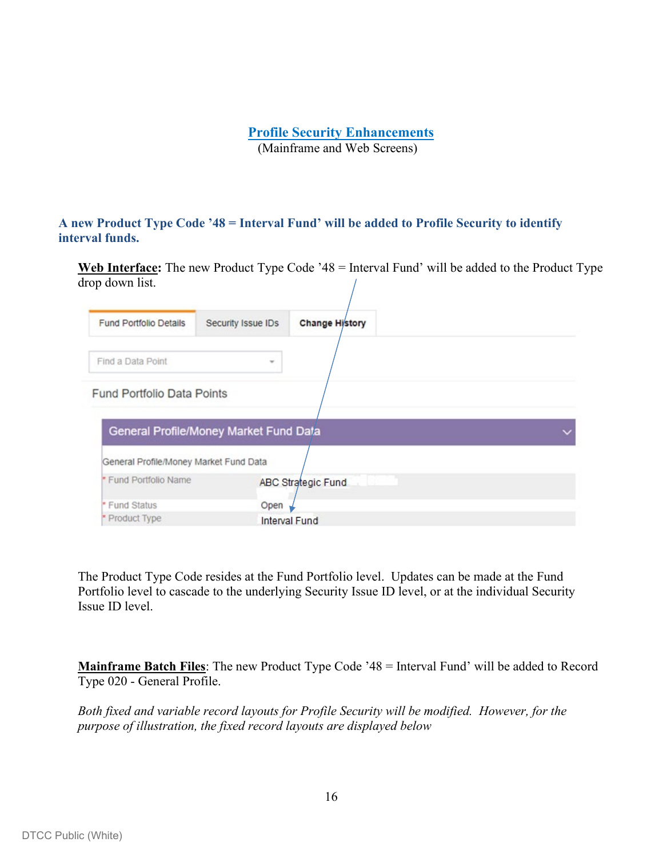# **Profile Security Enhancements**

(Mainframe and Web Screens)

#### **A new Product Type Code '48 = Interval Fund' will be added to Profile Security to identify interval funds.**

**Web Interface:** The new Product Type Code '48 = Interval Fund' will be added to the Product Type drop down list.

| <b>Fund Portfolio Details</b>          | Security Issue IDs                     | <b>Change History</b> |  |
|----------------------------------------|----------------------------------------|-----------------------|--|
| Find a Data Point                      | $\sim$                                 |                       |  |
| Fund Portfolio Data Points             |                                        |                       |  |
|                                        | General Profile/Money Market Fund Data |                       |  |
| General Profile/Money Market Fund Data |                                        |                       |  |
| * Fund Portfolio Name                  |                                        | ABC Strategic Fund    |  |
| * Fund Status                          | Open                                   |                       |  |
| * Product Type                         |                                        | Interval Fund         |  |

The Product Type Code resides at the Fund Portfolio level. Updates can be made at the Fund Portfolio level to cascade to the underlying Security Issue ID level, or at the individual Security Issue ID level.

**Mainframe Batch Files**: The new Product Type Code '48 = Interval Fund' will be added to Record Type 020 - General Profile.

*Both fixed and variable record layouts for Profile Security will be modified. However, for the purpose of illustration, the fixed record layouts are displayed below*